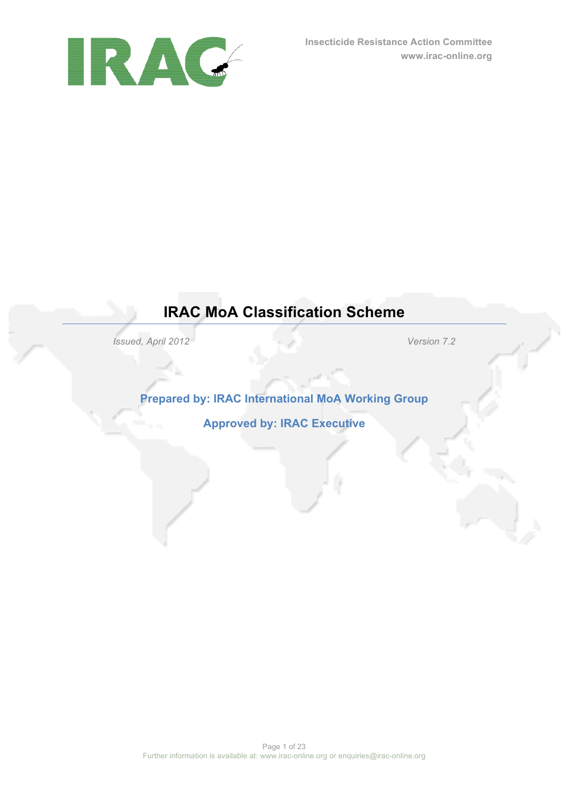

## **IRAC MoA Classification Scheme**

*Issued, April 2012 Version 7.2*

**Prepared by: IRAC International MoA Working Group**

**Approved by: IRAC Executive**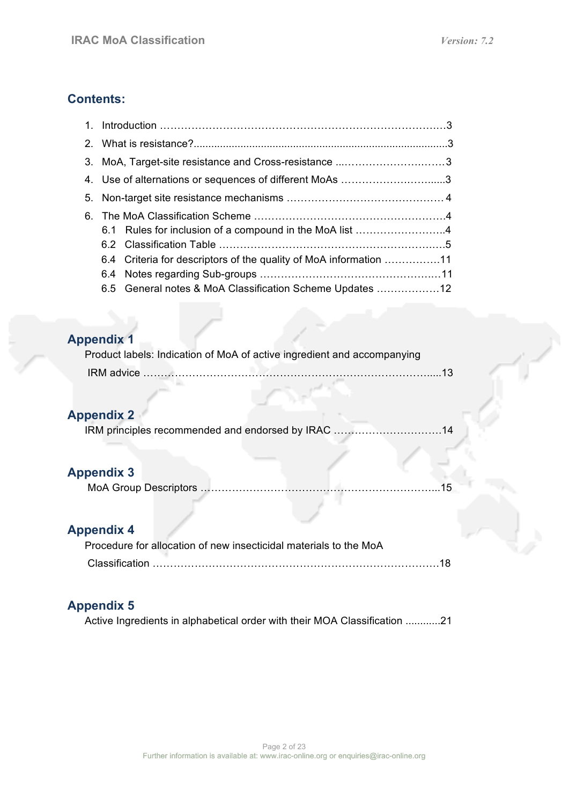## **Contents:**

|  | 3. MoA, Target-site resistance and Cross-resistance 3             |  |
|--|-------------------------------------------------------------------|--|
|  | 4. Use of alternations or sequences of different MoAs 3           |  |
|  |                                                                   |  |
|  |                                                                   |  |
|  | 6.1 Rules for inclusion of a compound in the MoA list 4           |  |
|  |                                                                   |  |
|  | 6.4 Criteria for descriptors of the quality of MoA information 11 |  |
|  |                                                                   |  |
|  | 6.5 General notes & MoA Classification Scheme Updates 12          |  |

## **Appendix 1**

| Product labels: Indication of MoA of active ingredient and accompanying |  |
|-------------------------------------------------------------------------|--|
|                                                                         |  |

## **Appendix 2**

| IRM principles recommended and endorsed by IRAC 14 |  |
|----------------------------------------------------|--|
|                                                    |  |

## **Appendix 3**

|--|--|

## **Appendix 4**

| Procedure for allocation of new insecticidal materials to the MoA |
|-------------------------------------------------------------------|
|                                                                   |

## **Appendix 5**

Active Ingredients in alphabetical order with their MOA Classification ............21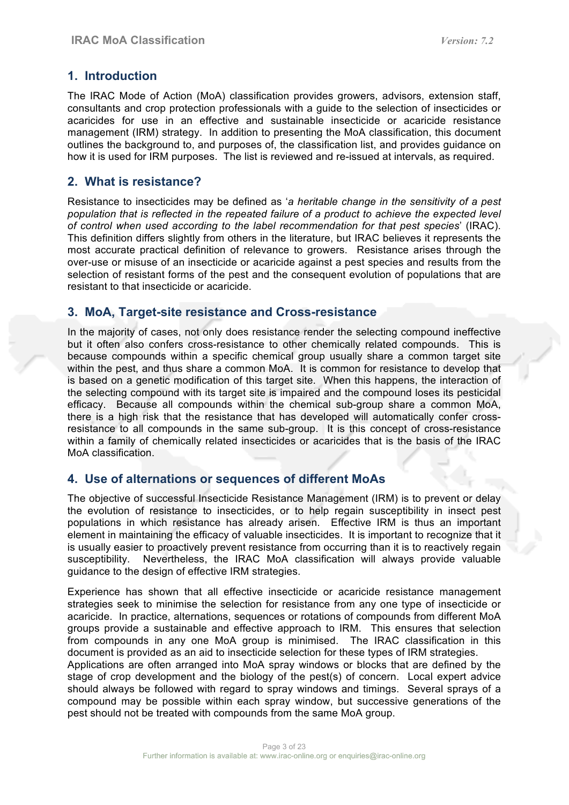## **1. Introduction**

The IRAC Mode of Action (MoA) classification provides growers, advisors, extension staff, consultants and crop protection professionals with a guide to the selection of insecticides or acaricides for use in an effective and sustainable insecticide or acaricide resistance management (IRM) strategy. In addition to presenting the MoA classification, this document outlines the background to, and purposes of, the classification list, and provides guidance on how it is used for IRM purposes. The list is reviewed and re-issued at intervals, as required.

### **2. What is resistance?**

Resistance to insecticides may be defined as '*a heritable change in the sensitivity of a pest population that is reflected in the repeated failure of a product to achieve the expected level of control when used according to the label recommendation for that pest species*' (IRAC). This definition differs slightly from others in the literature, but IRAC believes it represents the most accurate practical definition of relevance to growers. Resistance arises through the over-use or misuse of an insecticide or acaricide against a pest species and results from the selection of resistant forms of the pest and the consequent evolution of populations that are resistant to that insecticide or acaricide.

### **3. MoA, Target-site resistance and Cross-resistance**

In the majority of cases, not only does resistance render the selecting compound ineffective but it often also confers cross-resistance to other chemically related compounds. This is because compounds within a specific chemical group usually share a common target site within the pest, and thus share a common MoA. It is common for resistance to develop that is based on a genetic modification of this target site. When this happens, the interaction of the selecting compound with its target site is impaired and the compound loses its pesticidal efficacy. Because all compounds within the chemical sub-group share a common MoA, there is a high risk that the resistance that has developed will automatically confer crossresistance to all compounds in the same sub-group. It is this concept of cross-resistance within a family of chemically related insecticides or acaricides that is the basis of the IRAC MoA classification.

### **4. Use of alternations or sequences of different MoAs**

The objective of successful Insecticide Resistance Management (IRM) is to prevent or delay the evolution of resistance to insecticides, or to help regain susceptibility in insect pest populations in which resistance has already arisen. Effective IRM is thus an important element in maintaining the efficacy of valuable insecticides. It is important to recognize that it is usually easier to proactively prevent resistance from occurring than it is to reactively regain susceptibility. Nevertheless, the IRAC MoA classification will always provide valuable guidance to the design of effective IRM strategies.

Experience has shown that all effective insecticide or acaricide resistance management strategies seek to minimise the selection for resistance from any one type of insecticide or acaricide. In practice, alternations, sequences or rotations of compounds from different MoA groups provide a sustainable and effective approach to IRM. This ensures that selection from compounds in any one MoA group is minimised. The IRAC classification in this document is provided as an aid to insecticide selection for these types of IRM strategies.

Applications are often arranged into MoA spray windows or blocks that are defined by the stage of crop development and the biology of the pest(s) of concern. Local expert advice should always be followed with regard to spray windows and timings. Several sprays of a compound may be possible within each spray window, but successive generations of the pest should not be treated with compounds from the same MoA group.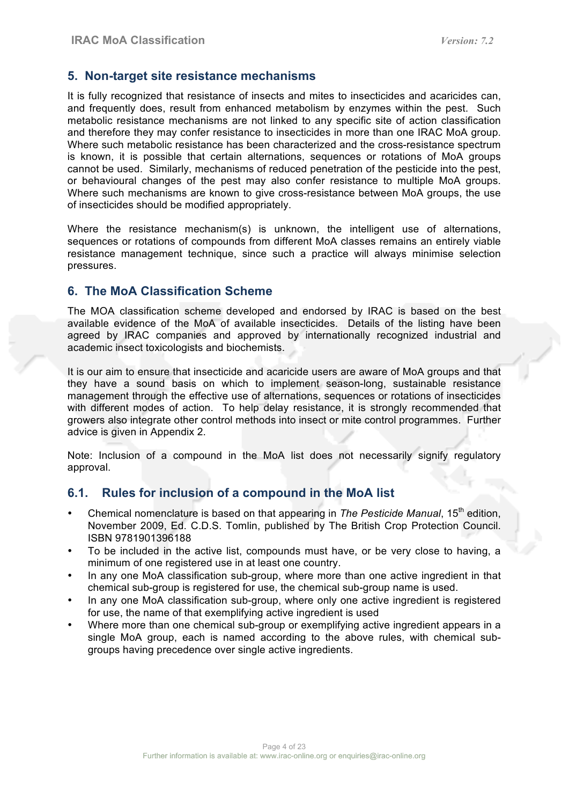## **5. Non-target site resistance mechanisms**

It is fully recognized that resistance of insects and mites to insecticides and acaricides can, and frequently does, result from enhanced metabolism by enzymes within the pest. Such metabolic resistance mechanisms are not linked to any specific site of action classification and therefore they may confer resistance to insecticides in more than one IRAC MoA group. Where such metabolic resistance has been characterized and the cross-resistance spectrum is known, it is possible that certain alternations, sequences or rotations of MoA groups cannot be used. Similarly, mechanisms of reduced penetration of the pesticide into the pest, or behavioural changes of the pest may also confer resistance to multiple MoA groups. Where such mechanisms are known to give cross-resistance between MoA groups, the use of insecticides should be modified appropriately.

Where the resistance mechanism(s) is unknown, the intelligent use of alternations, sequences or rotations of compounds from different MoA classes remains an entirely viable resistance management technique, since such a practice will always minimise selection pressures.

## **6. The MoA Classification Scheme**

The MOA classification scheme developed and endorsed by IRAC is based on the best available evidence of the MoA of available insecticides. Details of the listing have been agreed by IRAC companies and approved by internationally recognized industrial and academic insect toxicologists and biochemists.

It is our aim to ensure that insecticide and acaricide users are aware of MoA groups and that they have a sound basis on which to implement season-long, sustainable resistance management through the effective use of alternations, sequences or rotations of insecticides with different modes of action. To help delay resistance, it is strongly recommended that growers also integrate other control methods into insect or mite control programmes. Further advice is given in Appendix 2.

Note: Inclusion of a compound in the MoA list does not necessarily signify regulatory approval.

## **6.1. Rules for inclusion of a compound in the MoA list**

- Chemical nomenclature is based on that appearing in *The Pesticide Manual*, 15th edition, November 2009, Ed. C.D.S. Tomlin, published by The British Crop Protection Council. ISBN 9781901396188
- To be included in the active list, compounds must have, or be very close to having, a minimum of one registered use in at least one country.
- In any one MoA classification sub-group, where more than one active ingredient in that chemical sub-group is registered for use, the chemical sub-group name is used.
- In any one MoA classification sub-group, where only one active ingredient is registered for use, the name of that exemplifying active ingredient is used
- Where more than one chemical sub-group or exemplifying active ingredient appears in a single MoA group, each is named according to the above rules, with chemical subgroups having precedence over single active ingredients.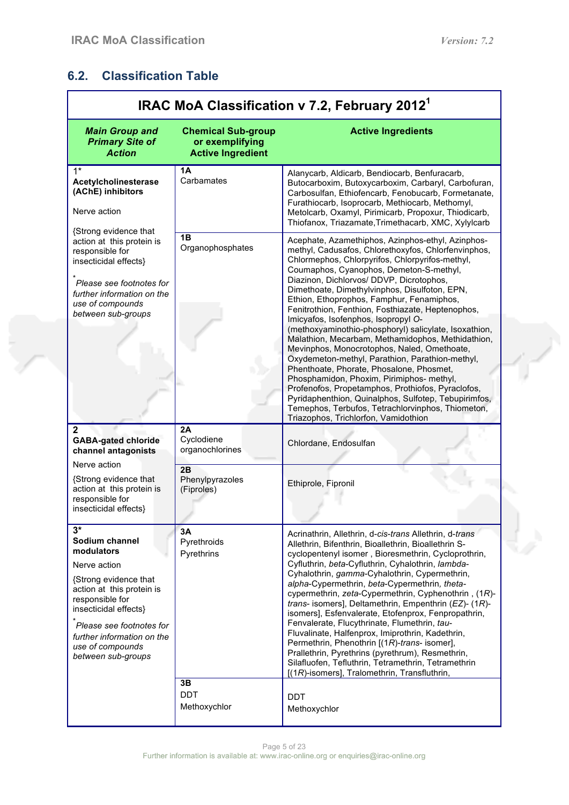## **6.2. Classification Table**

e in

| IRAC MoA Classification v 7.2, February 2012 <sup>1</sup>                                                                                                                                                                                                  |                                                                          |                                                                                                                                                                                                                                                                                                                                                                                                                                                                                                                                                                                                                                                                                                                                                                                                                                                                                                                                                                 |  |  |
|------------------------------------------------------------------------------------------------------------------------------------------------------------------------------------------------------------------------------------------------------------|--------------------------------------------------------------------------|-----------------------------------------------------------------------------------------------------------------------------------------------------------------------------------------------------------------------------------------------------------------------------------------------------------------------------------------------------------------------------------------------------------------------------------------------------------------------------------------------------------------------------------------------------------------------------------------------------------------------------------------------------------------------------------------------------------------------------------------------------------------------------------------------------------------------------------------------------------------------------------------------------------------------------------------------------------------|--|--|
| <b>Main Group and</b><br><b>Primary Site of</b><br><b>Action</b>                                                                                                                                                                                           | <b>Chemical Sub-group</b><br>or exemplifying<br><b>Active Ingredient</b> | <b>Active Ingredients</b>                                                                                                                                                                                                                                                                                                                                                                                                                                                                                                                                                                                                                                                                                                                                                                                                                                                                                                                                       |  |  |
| $1*$<br>Acetylcholinesterase<br>(AChE) inhibitors<br>Nerve action                                                                                                                                                                                          | 1A<br>Carbamates                                                         | Alanycarb, Aldicarb, Bendiocarb, Benfuracarb,<br>Butocarboxim, Butoxycarboxim, Carbaryl, Carbofuran,<br>Carbosulfan, Ethiofencarb, Fenobucarb, Formetanate,<br>Furathiocarb, Isoprocarb, Methiocarb, Methomyl,<br>Metolcarb, Oxamyl, Pirimicarb, Propoxur, Thiodicarb,<br>Thiofanox, Triazamate, Trimethacarb, XMC, Xylylcarb                                                                                                                                                                                                                                                                                                                                                                                                                                                                                                                                                                                                                                   |  |  |
| {Strong evidence that<br>action at this protein is<br>responsible for<br>insecticidal effects}<br>Please see footnotes for<br>further information on the<br>use of compounds<br>between sub-groups                                                         | 1B<br>Organophosphates                                                   | Acephate, Azamethiphos, Azinphos-ethyl, Azinphos-<br>methyl, Cadusafos, Chlorethoxyfos, Chlorfenvinphos,<br>Chlormephos, Chlorpyrifos, Chlorpyrifos-methyl,<br>Coumaphos, Cyanophos, Demeton-S-methyl,<br>Diazinon, Dichlorvos/ DDVP, Dicrotophos,<br>Dimethoate, Dimethylvinphos, Disulfoton, EPN,<br>Ethion, Ethoprophos, Famphur, Fenamiphos,<br>Fenitrothion, Fenthion, Fosthiazate, Heptenophos,<br>Imicyafos, Isofenphos, Isopropyl O-<br>(methoxyaminothio-phosphoryl) salicylate, Isoxathion,<br>Malathion, Mecarbam, Methamidophos, Methidathion,<br>Mevinphos, Monocrotophos, Naled, Omethoate,<br>Oxydemeton-methyl, Parathion, Parathion-methyl,<br>Phenthoate, Phorate, Phosalone, Phosmet,<br>Phosphamidon, Phoxim, Pirimiphos- methyl,<br>Profenofos, Propetamphos, Prothiofos, Pyraclofos,<br>Pyridaphenthion, Quinalphos, Sulfotep, Tebupirimfos,<br>Temephos, Terbufos, Tetrachlorvinphos, Thiometon,<br>Triazophos, Trichlorfon, Vamidothion |  |  |
| $\mathbf{2}$<br><b>GABA-gated chloride</b><br>channel antagonists                                                                                                                                                                                          | 2A<br>Cyclodiene<br>organochlorines                                      | Chlordane, Endosulfan                                                                                                                                                                                                                                                                                                                                                                                                                                                                                                                                                                                                                                                                                                                                                                                                                                                                                                                                           |  |  |
| Nerve action<br>{Strong evidence that<br>action at this protein is<br>responsible for<br>insecticidal effects}                                                                                                                                             | 2B<br>Phenylpyrazoles<br>(Fiproles)                                      | Ethiprole, Fipronil                                                                                                                                                                                                                                                                                                                                                                                                                                                                                                                                                                                                                                                                                                                                                                                                                                                                                                                                             |  |  |
| $3*$<br>Sodium channel<br>modulators<br>Nerve action<br>{Strong evidence that<br>action at this protein is<br>responsible for<br>insecticidal effects}<br>Please see footnotes for<br>further information on the<br>use of compounds<br>between sub-groups | 3A<br>Pyrethroids<br>Pyrethrins                                          | Acrinathrin, Allethrin, d-cis-trans Allethrin, d-trans<br>Allethrin, Bifenthrin, Bioallethrin, Bioallethrin S-<br>cyclopentenyl isomer, Bioresmethrin, Cycloprothrin,<br>Cyfluthrin, beta-Cyfluthrin, Cyhalothrin, lambda-<br>Cyhalothrin, gamma-Cyhalothrin, Cypermethrin,<br>alpha-Cypermethrin, beta-Cypermethrin, theta-<br>cypermethrin, zeta-Cypermethrin, Cyphenothrin, (1R)-<br>trans- isomers], Deltamethrin, Empenthrin (EZ)- (1R)-<br>isomers], Esfenvalerate, Etofenprox, Fenpropathrin,<br>Fenvalerate, Flucythrinate, Flumethrin, tau-<br>Fluvalinate, Halfenprox, Imiprothrin, Kadethrin,<br>Permethrin, Phenothrin [(1R)-trans- isomer],<br>Prallethrin, Pyrethrins (pyrethrum), Resmethrin,<br>Silafluofen, Tefluthrin, Tetramethrin, Tetramethrin<br>[(1R)-isomers], Tralomethrin, Transfluthrin,                                                                                                                                             |  |  |
|                                                                                                                                                                                                                                                            | 3B<br><b>DDT</b><br>Methoxychlor                                         | <b>DDT</b><br>Methoxychlor                                                                                                                                                                                                                                                                                                                                                                                                                                                                                                                                                                                                                                                                                                                                                                                                                                                                                                                                      |  |  |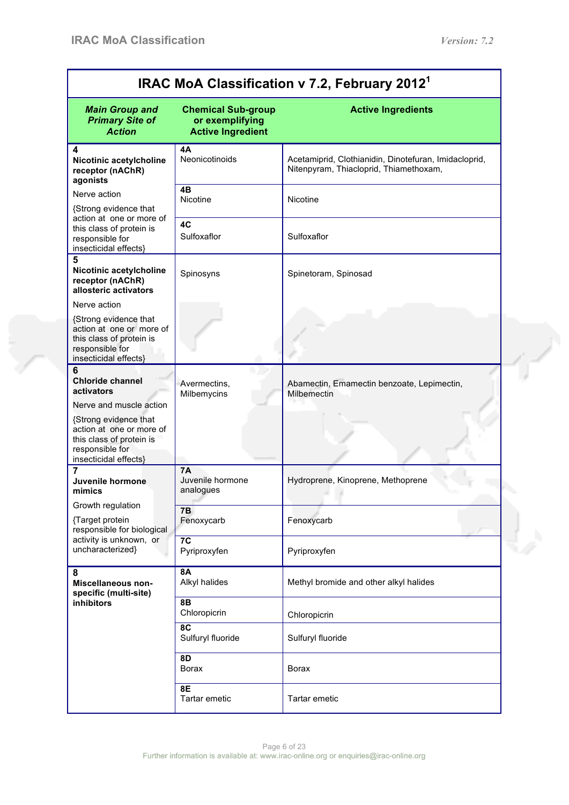$\frac{1}{\sqrt{2}}$ 

| IRAC MoA Classification v 7.2, February 2012 <sup>1</sup>                                                                                 |                                                                          |                                                                                                 |  |  |
|-------------------------------------------------------------------------------------------------------------------------------------------|--------------------------------------------------------------------------|-------------------------------------------------------------------------------------------------|--|--|
| <b>Main Group and</b><br><b>Primary Site of</b><br><b>Action</b>                                                                          | <b>Chemical Sub-group</b><br>or exemplifying<br><b>Active Ingredient</b> | <b>Active Ingredients</b>                                                                       |  |  |
| 4<br>Nicotinic acetylcholine<br>receptor (nAChR)<br>agonists                                                                              | 4A<br>Neonicotinoids                                                     | Acetamiprid, Clothianidin, Dinotefuran, Imidacloprid,<br>Nitenpyram, Thiacloprid, Thiamethoxam, |  |  |
| Nerve action<br>{Strong evidence that                                                                                                     | 4B<br>Nicotine                                                           | Nicotine                                                                                        |  |  |
| action at one or more of<br>this class of protein is<br>responsible for<br>insecticidal effects}                                          | 4C<br>Sulfoxaflor                                                        | Sulfoxaflor                                                                                     |  |  |
| 5<br>Nicotinic acetylcholine<br>receptor (nAChR)<br>allosteric activators                                                                 | Spinosyns                                                                | Spinetoram, Spinosad                                                                            |  |  |
| Nerve action<br>{Strong evidence that<br>action at one or more of<br>this class of protein is<br>responsible for<br>insecticidal effects} |                                                                          |                                                                                                 |  |  |
| 6<br><b>Chloride channel</b><br>activators<br>Nerve and muscle action                                                                     | Avermectins,<br>Milbemycins                                              | Abamectin, Emamectin benzoate, Lepimectin,<br>Milbemectin                                       |  |  |
| {Strong evidence that<br>action at one or more of<br>this class of protein is<br>responsible for<br>insecticidal effects}                 |                                                                          |                                                                                                 |  |  |
| 7<br>Juvenile hormone<br>mimics                                                                                                           | <b>7A</b><br>Juvenile hormone<br>analogues                               | Hydroprene, Kinoprene, Methoprene                                                               |  |  |
| Growth regulation<br>{Target protein<br>responsible for biological                                                                        | <b>7B</b><br>Fenoxycarb                                                  | Fenoxycarb                                                                                      |  |  |
| activity is unknown, or<br>uncharacterized}                                                                                               | 7 <sub>C</sub><br>Pyriproxyfen                                           | Pyriproxyfen                                                                                    |  |  |
| 8<br>Miscellaneous non-<br>specific (multi-site)                                                                                          | <b>8A</b><br>Alkyl halides                                               | Methyl bromide and other alkyl halides                                                          |  |  |
| inhibitors                                                                                                                                | <b>8B</b><br>Chloropicrin<br>8C                                          | Chloropicrin                                                                                    |  |  |
|                                                                                                                                           | Sulfuryl fluoride                                                        | Sulfuryl fluoride                                                                               |  |  |
|                                                                                                                                           | <b>8D</b><br><b>Borax</b>                                                | Borax                                                                                           |  |  |
|                                                                                                                                           | 8E<br>Tartar emetic                                                      | Tartar emetic                                                                                   |  |  |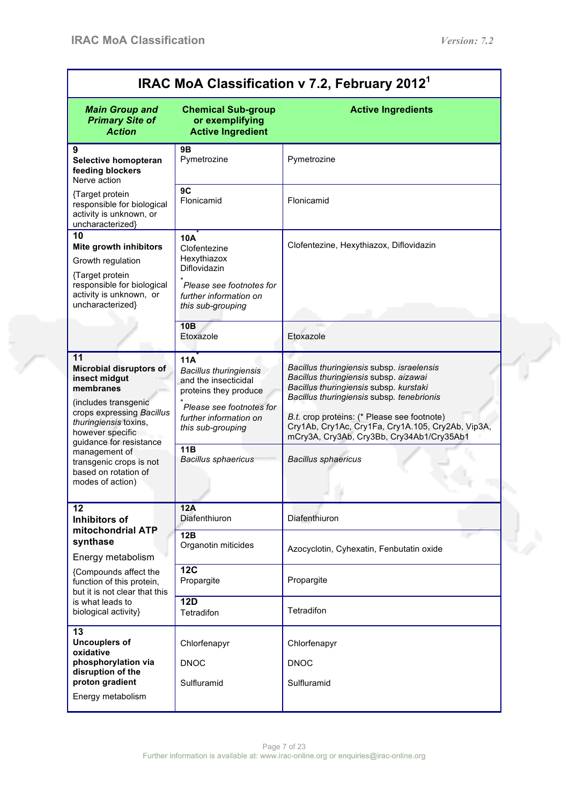$\mathbb{Z}^2$ 

| IRAC MoA Classification v 7.2, February 2012 <sup>1</sup>                                                                                                                                                                                                                               |                                                                                                                                                                                                       |                                                                                                                                                                                                                                                                                                                                                          |  |
|-----------------------------------------------------------------------------------------------------------------------------------------------------------------------------------------------------------------------------------------------------------------------------------------|-------------------------------------------------------------------------------------------------------------------------------------------------------------------------------------------------------|----------------------------------------------------------------------------------------------------------------------------------------------------------------------------------------------------------------------------------------------------------------------------------------------------------------------------------------------------------|--|
| <b>Main Group and</b><br><b>Primary Site of</b><br><b>Action</b>                                                                                                                                                                                                                        | <b>Chemical Sub-group</b><br>or exemplifying<br><b>Active Ingredient</b>                                                                                                                              | <b>Active Ingredients</b>                                                                                                                                                                                                                                                                                                                                |  |
| 9<br>Selective homopteran<br>feeding blockers<br>Nerve action                                                                                                                                                                                                                           | 9Β<br>Pymetrozine                                                                                                                                                                                     | Pymetrozine                                                                                                                                                                                                                                                                                                                                              |  |
| {Target protein<br>responsible for biological<br>activity is unknown, or<br>uncharacterized}                                                                                                                                                                                            | 9C<br>Flonicamid                                                                                                                                                                                      | Flonicamid                                                                                                                                                                                                                                                                                                                                               |  |
| 10<br>Mite growth inhibitors<br>Growth regulation<br>{Target protein<br>responsible for biological<br>activity is unknown, or<br>uncharacterized}                                                                                                                                       | <b>10A</b><br>Clofentezine<br>Hexythiazox<br>Diflovidazin<br>Please see footnotes for<br>further information on<br>this sub-grouping                                                                  | Clofentezine, Hexythiazox, Diflovidazin                                                                                                                                                                                                                                                                                                                  |  |
|                                                                                                                                                                                                                                                                                         | <b>10B</b><br>Etoxazole                                                                                                                                                                               | Etoxazole                                                                                                                                                                                                                                                                                                                                                |  |
| 11<br><b>Microbial disruptors of</b><br>insect midgut<br>membranes<br>(includes transgenic<br>crops expressing Bacillus<br>thuringiensis toxins,<br>however specific<br>guidance for resistance<br>management of<br>transgenic crops is not<br>based on rotation of<br>modes of action) | 11A<br><b>Bacillus thuringiensis</b><br>and the insecticidal<br>proteins they produce<br>Please see footnotes for<br>further information on<br>this sub-grouping<br>11B<br><b>Bacillus sphaericus</b> | Bacillus thuringiensis subsp. israelensis<br>Bacillus thuringiensis subsp. aizawai<br>Bacillus thuringiensis subsp. kurstaki<br>Bacillus thuringiensis subsp. tenebrionis<br>B.t. crop proteins: (* Please see footnote)<br>Cry1Ab, Cry1Ac, Cry1Fa, Cry1A.105, Cry2Ab, Vip3A,<br>mCry3A, Cry3Ab, Cry3Bb, Cry34Ab1/Cry35Ab1<br><b>Bacillus sphaericus</b> |  |
| 12<br>Inhibitors of                                                                                                                                                                                                                                                                     | 12A<br>Diafenthiuron                                                                                                                                                                                  | Diafenthiuron                                                                                                                                                                                                                                                                                                                                            |  |
| mitochondrial ATP<br>synthase<br>Energy metabolism<br>{Compounds affect the<br>function of this protein,<br>but it is not clear that this                                                                                                                                               | 12B<br>Organotin miticides                                                                                                                                                                            | Azocyclotin, Cyhexatin, Fenbutatin oxide                                                                                                                                                                                                                                                                                                                 |  |
|                                                                                                                                                                                                                                                                                         | <b>12C</b><br>Propargite                                                                                                                                                                              | Propargite                                                                                                                                                                                                                                                                                                                                               |  |
| is what leads to<br>biological activity}                                                                                                                                                                                                                                                | <b>12D</b><br>Tetradifon                                                                                                                                                                              | Tetradifon                                                                                                                                                                                                                                                                                                                                               |  |
| 13<br><b>Uncouplers of</b><br>oxidative                                                                                                                                                                                                                                                 | Chlorfenapyr                                                                                                                                                                                          | Chlorfenapyr                                                                                                                                                                                                                                                                                                                                             |  |
| phosphorylation via<br>disruption of the<br>proton gradient                                                                                                                                                                                                                             | <b>DNOC</b><br>Sulfluramid                                                                                                                                                                            | <b>DNOC</b><br>Sulfluramid                                                                                                                                                                                                                                                                                                                               |  |
| Energy metabolism                                                                                                                                                                                                                                                                       |                                                                                                                                                                                                       |                                                                                                                                                                                                                                                                                                                                                          |  |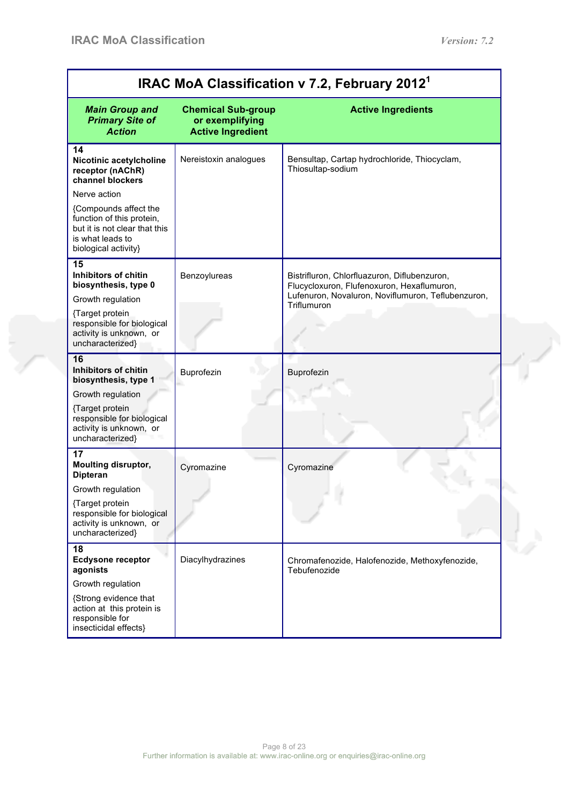| <b>Chemical Sub-group</b><br><b>Active Ingredients</b><br><b>Main Group and</b><br><b>Primary Site of</b><br>or exemplifying<br><b>Action</b><br><b>Active Ingredient</b><br>14<br>Nereistoxin analogues<br>Bensultap, Cartap hydrochloride, Thiocyclam,<br>Nicotinic acetylcholine<br>Thiosultap-sodium<br>receptor (nAChR)<br>channel blockers<br>Nerve action<br>{Compounds affect the<br>function of this protein,<br>but it is not clear that this<br>is what leads to<br>biological activity}<br>15<br>Inhibitors of chitin<br>Benzoylureas<br>Bistrifluron, Chlorfluazuron, Diflubenzuron,<br>biosynthesis, type 0<br>Flucycloxuron, Flufenoxuron, Hexaflumuron,<br>Lufenuron, Novaluron, Noviflumuron, Teflubenzuron,<br>Growth regulation<br>Triflumuron<br>{Target protein<br>responsible for biological<br>activity is unknown, or<br>uncharacterized}<br>16<br>Inhibitors of chitin<br>Buprofezin<br>Buprofezin<br>biosynthesis, type 1<br>Growth regulation<br>{Target protein<br>responsible for biological<br>activity is unknown, or<br>uncharacterized} |
|--------------------------------------------------------------------------------------------------------------------------------------------------------------------------------------------------------------------------------------------------------------------------------------------------------------------------------------------------------------------------------------------------------------------------------------------------------------------------------------------------------------------------------------------------------------------------------------------------------------------------------------------------------------------------------------------------------------------------------------------------------------------------------------------------------------------------------------------------------------------------------------------------------------------------------------------------------------------------------------------------------------------------------------------------------------------------|
|                                                                                                                                                                                                                                                                                                                                                                                                                                                                                                                                                                                                                                                                                                                                                                                                                                                                                                                                                                                                                                                                          |
|                                                                                                                                                                                                                                                                                                                                                                                                                                                                                                                                                                                                                                                                                                                                                                                                                                                                                                                                                                                                                                                                          |
|                                                                                                                                                                                                                                                                                                                                                                                                                                                                                                                                                                                                                                                                                                                                                                                                                                                                                                                                                                                                                                                                          |
|                                                                                                                                                                                                                                                                                                                                                                                                                                                                                                                                                                                                                                                                                                                                                                                                                                                                                                                                                                                                                                                                          |
|                                                                                                                                                                                                                                                                                                                                                                                                                                                                                                                                                                                                                                                                                                                                                                                                                                                                                                                                                                                                                                                                          |
|                                                                                                                                                                                                                                                                                                                                                                                                                                                                                                                                                                                                                                                                                                                                                                                                                                                                                                                                                                                                                                                                          |
|                                                                                                                                                                                                                                                                                                                                                                                                                                                                                                                                                                                                                                                                                                                                                                                                                                                                                                                                                                                                                                                                          |
|                                                                                                                                                                                                                                                                                                                                                                                                                                                                                                                                                                                                                                                                                                                                                                                                                                                                                                                                                                                                                                                                          |
| 17<br><b>Moulting disruptor,</b><br>Cyromazine<br>Cyromazine<br><b>Dipteran</b>                                                                                                                                                                                                                                                                                                                                                                                                                                                                                                                                                                                                                                                                                                                                                                                                                                                                                                                                                                                          |
| Growth regulation<br>{Target protein<br>responsible for biological<br>activity is unknown, or<br>uncharacterized}                                                                                                                                                                                                                                                                                                                                                                                                                                                                                                                                                                                                                                                                                                                                                                                                                                                                                                                                                        |
| 18<br><b>Ecdysone receptor</b><br>Diacylhydrazines<br>Chromafenozide, Halofenozide, Methoxyfenozide,<br>agonists<br>Tebufenozide                                                                                                                                                                                                                                                                                                                                                                                                                                                                                                                                                                                                                                                                                                                                                                                                                                                                                                                                         |
| Growth regulation                                                                                                                                                                                                                                                                                                                                                                                                                                                                                                                                                                                                                                                                                                                                                                                                                                                                                                                                                                                                                                                        |
| {Strong evidence that<br>action at this protein is<br>responsible for<br>insecticidal effects}                                                                                                                                                                                                                                                                                                                                                                                                                                                                                                                                                                                                                                                                                                                                                                                                                                                                                                                                                                           |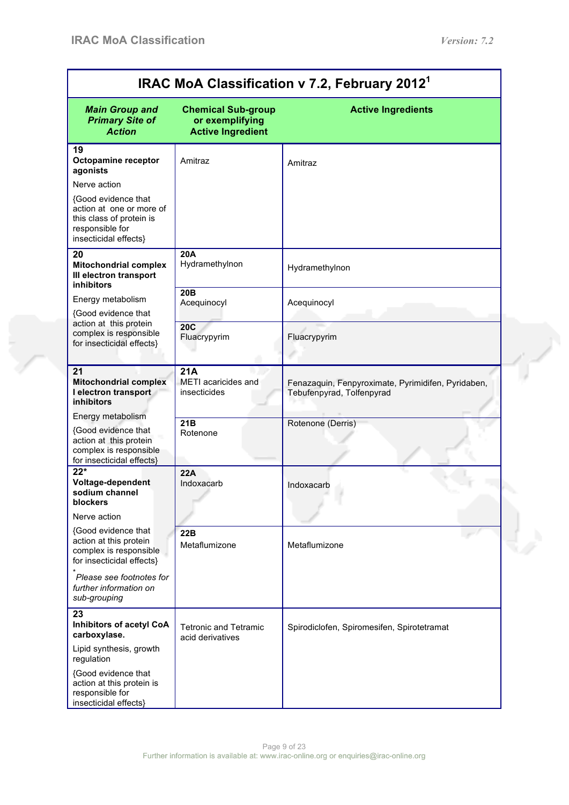e<br>San

| IRAC MoA Classification v 7.2, February 2012 <sup>1</sup>                                                               |                                                                          |                                                                                 |  |
|-------------------------------------------------------------------------------------------------------------------------|--------------------------------------------------------------------------|---------------------------------------------------------------------------------|--|
| <b>Main Group and</b><br><b>Primary Site of</b><br><b>Action</b>                                                        | <b>Chemical Sub-group</b><br>or exemplifying<br><b>Active Ingredient</b> | <b>Active Ingredients</b>                                                       |  |
| 19                                                                                                                      |                                                                          |                                                                                 |  |
| Octopamine receptor<br>agonists                                                                                         | Amitraz                                                                  | Amitraz                                                                         |  |
| Nerve action                                                                                                            |                                                                          |                                                                                 |  |
| {Good evidence that<br>action at one or more of<br>this class of protein is<br>responsible for<br>insecticidal effects} |                                                                          |                                                                                 |  |
| 20                                                                                                                      | <b>20A</b><br>Hydramethylnon                                             |                                                                                 |  |
| <b>Mitochondrial complex</b><br>III electron transport                                                                  |                                                                          | Hydramethylnon                                                                  |  |
| inhibitors<br>Energy metabolism                                                                                         | 20B                                                                      |                                                                                 |  |
| {Good evidence that                                                                                                     | Acequinocyl                                                              | Acequinocyl                                                                     |  |
| action at this protein<br>complex is responsible<br>for insecticidal effects}                                           | <b>20C</b><br>Fluacrypyrim                                               | Fluacrypyrim                                                                    |  |
| 21                                                                                                                      | 21A                                                                      |                                                                                 |  |
| <b>Mitochondrial complex</b><br>I electron transport<br><b>inhibitors</b>                                               | <b>METI</b> acaricides and<br>insecticides                               | Fenazaquin, Fenpyroximate, Pyrimidifen, Pyridaben,<br>Tebufenpyrad, Tolfenpyrad |  |
| Energy metabolism                                                                                                       | 21B                                                                      | Rotenone (Derris)                                                               |  |
| {Good evidence that<br>action at this protein<br>complex is responsible<br>for insecticidal effects}                    | Rotenone                                                                 |                                                                                 |  |
| $\overline{22^*}$                                                                                                       | 22A                                                                      |                                                                                 |  |
| Voltage-dependent<br>sodium channel                                                                                     | Indoxacarb                                                               | Indoxacarb                                                                      |  |
| blockers                                                                                                                |                                                                          |                                                                                 |  |
| Nerve action                                                                                                            |                                                                          |                                                                                 |  |
| {Good evidence that<br>action at this protein<br>complex is responsible<br>for insecticidal effects}                    | 22B<br>Metaflumizone                                                     | Metaflumizone                                                                   |  |
| Please see footnotes for<br>further information on<br>sub-grouping                                                      |                                                                          |                                                                                 |  |
| 23<br><b>Inhibitors of acetyl CoA</b><br>carboxylase.                                                                   | <b>Tetronic and Tetramic</b><br>acid derivatives                         | Spirodiclofen, Spiromesifen, Spirotetramat                                      |  |
| Lipid synthesis, growth<br>regulation                                                                                   |                                                                          |                                                                                 |  |
| {Good evidence that<br>action at this protein is<br>responsible for<br>insecticidal effects}                            |                                                                          |                                                                                 |  |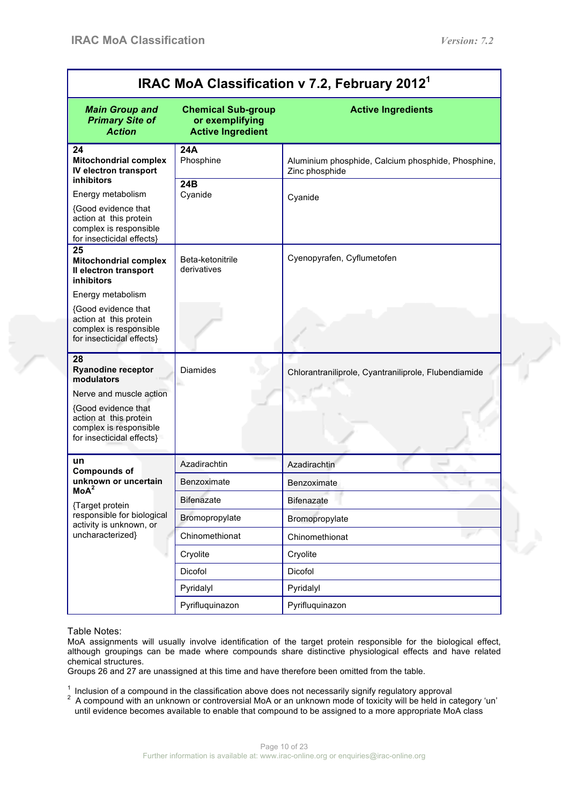| IRAC MoA Classification v 7.2, February 2012 <sup>1</sup>                                                                                                                               |                                                                          |                                                                      |  |  |
|-----------------------------------------------------------------------------------------------------------------------------------------------------------------------------------------|--------------------------------------------------------------------------|----------------------------------------------------------------------|--|--|
| <b>Main Group and</b><br><b>Primary Site of</b><br><b>Action</b>                                                                                                                        | <b>Chemical Sub-group</b><br>or exemplifying<br><b>Active Ingredient</b> | <b>Active Ingredients</b>                                            |  |  |
| 24<br><b>Mitochondrial complex</b><br>IV electron transport                                                                                                                             | 24A<br>Phosphine                                                         | Aluminium phosphide, Calcium phosphide, Phosphine,<br>Zinc phosphide |  |  |
| inhibitors<br>Energy metabolism<br><b>{Good evidence that</b><br>action at this protein<br>complex is responsible<br>for insecticidal effects}                                          | 24B<br>Cyanide                                                           | Cyanide                                                              |  |  |
| 25<br><b>Mitochondrial complex</b><br>Il electron transport<br><b>inhibitors</b>                                                                                                        | Beta-ketonitrile<br>derivatives                                          | Cyenopyrafen, Cyflumetofen                                           |  |  |
| Energy metabolism<br>{Good evidence that<br>action at this protein<br>complex is responsible<br>for insecticidal effects}                                                               |                                                                          |                                                                      |  |  |
| 28<br><b>Ryanodine receptor</b><br>modulators<br>Nerve and muscle action<br><b>{Good evidence that</b><br>action at this protein<br>complex is responsible<br>for insecticidal effects} | <b>Diamides</b>                                                          | Chlorantraniliprole, Cyantraniliprole, Flubendiamide                 |  |  |
| un<br><b>Compounds of</b>                                                                                                                                                               | Azadirachtin                                                             | Azadirachtin                                                         |  |  |
| unknown or uncertain<br>MoA <sup>2</sup>                                                                                                                                                | Benzoximate                                                              | Benzoximate                                                          |  |  |
| {Target protein                                                                                                                                                                         | Bifenazate                                                               | <b>Bifenazate</b>                                                    |  |  |
| responsible for biological<br>activity is unknown, or                                                                                                                                   | Bromopropylate                                                           | Bromopropylate                                                       |  |  |
| uncharacterized}                                                                                                                                                                        | Chinomethionat                                                           | Chinomethionat                                                       |  |  |
|                                                                                                                                                                                         | Cryolite                                                                 | Cryolite                                                             |  |  |
|                                                                                                                                                                                         | Dicofol                                                                  | Dicofol                                                              |  |  |
|                                                                                                                                                                                         | Pyridalyl                                                                | Pyridalyl                                                            |  |  |
|                                                                                                                                                                                         | Pyrifluquinazon                                                          | Pyrifluquinazon                                                      |  |  |

#### Table Notes:

MoA assignments will usually involve identification of the target protein responsible for the biological effect, although groupings can be made where compounds share distinctive physiological effects and have related chemical structures.

Groups 26 and 27 are unassigned at this time and have therefore been omitted from the table.

<sup>1</sup> Inclusion of a compound in the classification above does not necessarily signify regulatory approval  $2$  A compound with an unknown or controversial MoA or an unknown mode of toxicity will be held in category 'un' until evidence becomes available to enable that compound to be assigned to a more appropriate MoA class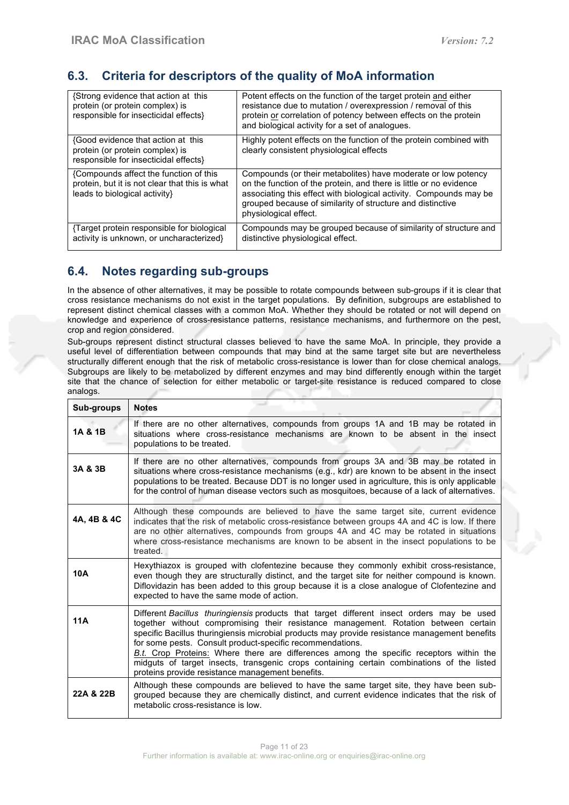## **6.3. Criteria for descriptors of the quality of MoA information**

| {Strong evidence that action at this<br>protein (or protein complex) is<br>responsible for insecticidal effects}          | Potent effects on the function of the target protein and either<br>resistance due to mutation / overexpression / removal of this<br>protein or correlation of potency between effects on the protein<br>and biological activity for a set of analogues.                                          |
|---------------------------------------------------------------------------------------------------------------------------|--------------------------------------------------------------------------------------------------------------------------------------------------------------------------------------------------------------------------------------------------------------------------------------------------|
| {Good evidence that action at this<br>protein (or protein complex) is<br>responsible for insecticidal effects}            | Highly potent effects on the function of the protein combined with<br>clearly consistent physiological effects                                                                                                                                                                                   |
| {Compounds affect the function of this<br>protein, but it is not clear that this is what<br>leads to biological activity} | Compounds (or their metabolites) have moderate or low potency<br>on the function of the protein, and there is little or no evidence<br>associating this effect with biological activity. Compounds may be<br>grouped because of similarity of structure and distinctive<br>physiological effect. |
| Target protein responsible for biological<br>activity is unknown, or uncharacterized}                                     | Compounds may be grouped because of similarity of structure and<br>distinctive physiological effect.                                                                                                                                                                                             |

## **6.4. Notes regarding sub-groups**

In the absence of other alternatives, it may be possible to rotate compounds between sub-groups if it is clear that cross resistance mechanisms do not exist in the target populations. By definition, subgroups are established to represent distinct chemical classes with a common MoA. Whether they should be rotated or not will depend on knowledge and experience of cross-resistance patterns, resistance mechanisms, and furthermore on the pest, crop and region considered.

Sub-groups represent distinct structural classes believed to have the same MoA. In principle, they provide a useful level of differentiation between compounds that may bind at the same target site but are nevertheless structurally different enough that the risk of metabolic cross-resistance is lower than for close chemical analogs. Subgroups are likely to be metabolized by different enzymes and may bind differently enough within the target site that the chance of selection for either metabolic or target-site resistance is reduced compared to close analogs.

| Sub-groups  | <b>Notes</b>                                                                                                                                                                                                                                                                                                                                                                                                                                                                                                                                                                               |
|-------------|--------------------------------------------------------------------------------------------------------------------------------------------------------------------------------------------------------------------------------------------------------------------------------------------------------------------------------------------------------------------------------------------------------------------------------------------------------------------------------------------------------------------------------------------------------------------------------------------|
| 1A & 1B     | If there are no other alternatives, compounds from groups 1A and 1B may be rotated in<br>situations where cross-resistance mechanisms are known to be absent in the insect<br>populations to be treated.                                                                                                                                                                                                                                                                                                                                                                                   |
| 3A & 3B     | If there are no other alternatives, compounds from groups 3A and 3B may be rotated in<br>situations where cross-resistance mechanisms (e.g., kdr) are known to be absent in the insect<br>populations to be treated. Because DDT is no longer used in agriculture, this is only applicable<br>for the control of human disease vectors such as mosquitoes, because of a lack of alternatives.                                                                                                                                                                                              |
| 4A, 4B & 4C | Although these compounds are believed to have the same target site, current evidence<br>indicates that the risk of metabolic cross-resistance between groups 4A and 4C is low. If there<br>are no other alternatives, compounds from groups 4A and 4C may be rotated in situations<br>where cross-resistance mechanisms are known to be absent in the insect populations to be<br>treated.                                                                                                                                                                                                 |
| 10A         | Hexythiazox is grouped with clofentezine because they commonly exhibit cross-resistance.<br>even though they are structurally distinct, and the target site for neither compound is known.<br>Diflovidazin has been added to this group because it is a close analogue of Clofentezine and<br>expected to have the same mode of action.                                                                                                                                                                                                                                                    |
| 11A         | Different Bacillus thuringiensis products that target different insect orders may be used<br>together without compromising their resistance management. Rotation between certain<br>specific Bacillus thuringiensis microbial products may provide resistance management benefits<br>for some pests. Consult product-specific recommendations.<br>B.t. Crop Proteins: Where there are differences among the specific receptors within the<br>midguts of target insects, transgenic crops containing certain combinations of the listed<br>proteins provide resistance management benefits. |
| 22A & 22B   | Although these compounds are believed to have the same target site, they have been sub-<br>grouped because they are chemically distinct, and current evidence indicates that the risk of<br>metabolic cross-resistance is low.                                                                                                                                                                                                                                                                                                                                                             |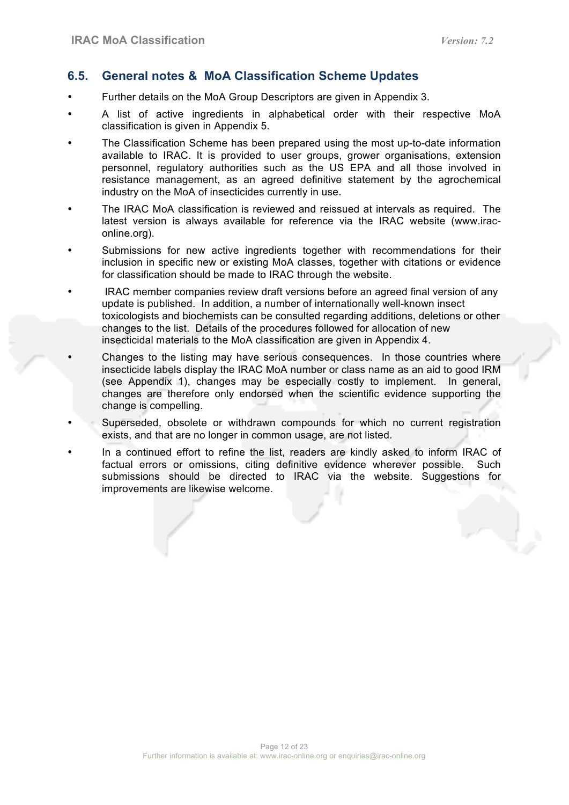## **6.5. General notes & MoA Classification Scheme Updates**

- Further details on the MoA Group Descriptors are given in Appendix 3.
- A list of active ingredients in alphabetical order with their respective MoA classification is given in Appendix 5.
- The Classification Scheme has been prepared using the most up-to-date information available to IRAC. It is provided to user groups, grower organisations, extension personnel, regulatory authorities such as the US EPA and all those involved in resistance management, as an agreed definitive statement by the agrochemical industry on the MoA of insecticides currently in use.
- The IRAC MoA classification is reviewed and reissued at intervals as required. The latest version is always available for reference via the IRAC website (www.iraconline.org).
- Submissions for new active ingredients together with recommendations for their inclusion in specific new or existing MoA classes, together with citations or evidence for classification should be made to IRAC through the website.
- IRAC member companies review draft versions before an agreed final version of any update is published. In addition, a number of internationally well-known insect toxicologists and biochemists can be consulted regarding additions, deletions or other changes to the list. Details of the procedures followed for allocation of new insecticidal materials to the MoA classification are given in Appendix 4.
- Changes to the listing may have serious consequences. In those countries where insecticide labels display the IRAC MoA number or class name as an aid to good IRM (see Appendix 1), changes may be especially costly to implement. In general, changes are therefore only endorsed when the scientific evidence supporting the change is compelling.
- Superseded, obsolete or withdrawn compounds for which no current registration exists, and that are no longer in common usage, are not listed.
- In a continued effort to refine the list, readers are kindly asked to inform IRAC of factual errors or omissions, citing definitive evidence wherever possible. Such submissions should be directed to IRAC via the website. Suggestions for improvements are likewise welcome.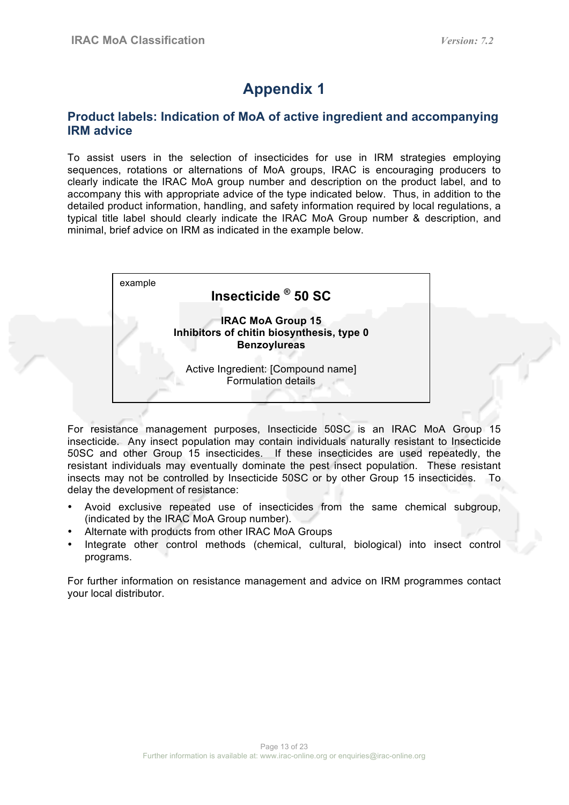## **Product labels: Indication of MoA of active ingredient and accompanying IRM advice**

To assist users in the selection of insecticides for use in IRM strategies employing sequences, rotations or alternations of MoA groups, IRAC is encouraging producers to clearly indicate the IRAC MoA group number and description on the product label, and to accompany this with appropriate advice of the type indicated below. Thus, in addition to the detailed product information, handling, and safety information required by local regulations, a typical title label should clearly indicate the IRAC MoA Group number & description, and minimal, brief advice on IRM as indicated in the example below.



For resistance management purposes, Insecticide 50SC is an IRAC MoA Group 15 insecticide. Any insect population may contain individuals naturally resistant to Insecticide 50SC and other Group 15 insecticides. If these insecticides are used repeatedly, the resistant individuals may eventually dominate the pest insect population. These resistant insects may not be controlled by Insecticide 50SC or by other Group 15 insecticides. To delay the development of resistance:

- Avoid exclusive repeated use of insecticides from the same chemical subgroup, (indicated by the IRAC MoA Group number).
- Alternate with products from other IRAC MoA Groups
- Integrate other control methods (chemical, cultural, biological) into insect control programs.

For further information on resistance management and advice on IRM programmes contact your local distributor.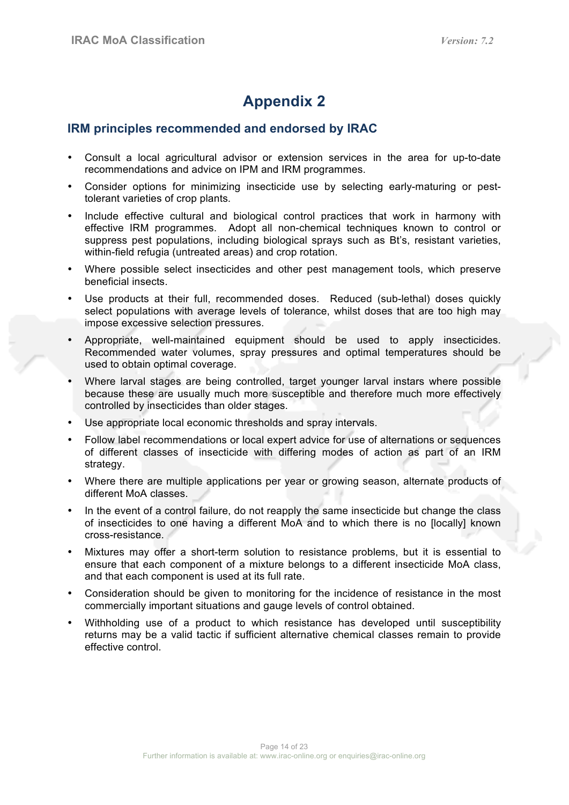## **IRM principles recommended and endorsed by IRAC**

- Consult a local agricultural advisor or extension services in the area for up-to-date recommendations and advice on IPM and IRM programmes.
- Consider options for minimizing insecticide use by selecting early-maturing or pesttolerant varieties of crop plants.
- Include effective cultural and biological control practices that work in harmony with effective IRM programmes. Adopt all non-chemical techniques known to control or suppress pest populations, including biological sprays such as Bt's, resistant varieties, within-field refugia (untreated areas) and crop rotation.
- Where possible select insecticides and other pest management tools, which preserve beneficial insects.
- Use products at their full, recommended doses. Reduced (sub-lethal) doses quickly select populations with average levels of tolerance, whilst doses that are too high may impose excessive selection pressures.
- Appropriate, well-maintained equipment should be used to apply insecticides. Recommended water volumes, spray pressures and optimal temperatures should be used to obtain optimal coverage.
- Where larval stages are being controlled, target younger larval instars where possible because these are usually much more susceptible and therefore much more effectively controlled by insecticides than older stages.
- Use appropriate local economic thresholds and spray intervals.
- Follow label recommendations or local expert advice for use of alternations or sequences of different classes of insecticide with differing modes of action as part of an IRM strategy.
- Where there are multiple applications per year or growing season, alternate products of different MoA classes.
- In the event of a control failure, do not reapply the same insecticide but change the class of insecticides to one having a different MoA and to which there is no [locally] known cross-resistance.
- Mixtures may offer a short-term solution to resistance problems, but it is essential to ensure that each component of a mixture belongs to a different insecticide MoA class, and that each component is used at its full rate.
- Consideration should be given to monitoring for the incidence of resistance in the most commercially important situations and gauge levels of control obtained.
- Withholding use of a product to which resistance has developed until susceptibility returns may be a valid tactic if sufficient alternative chemical classes remain to provide effective control.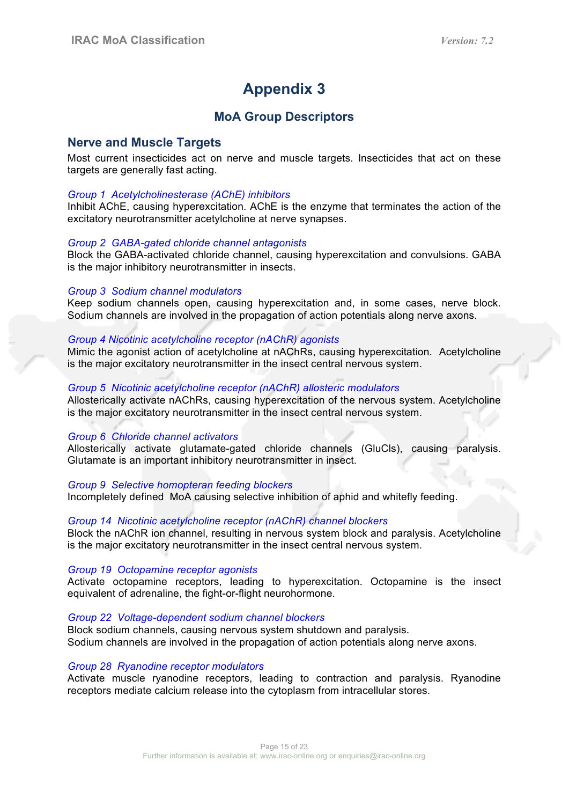## **MoA Group Descriptors**

### **Nerve and Muscle Targets**

Most current insecticides act on nerve and muscle targets. Insecticides that act on these targets are generally fast acting.

#### *Group 1 Acetylcholinesterase (AChE) inhibitors*

Inhibit AChE, causing hyperexcitation. AChE is the enzyme that terminates the action of the excitatory neurotransmitter acetylcholine at nerve synapses.

#### *Group 2 GABA-gated chloride channel antagonists*

Block the GABA-activated chloride channel, causing hyperexcitation and convulsions. GABA is the major inhibitory neurotransmitter in insects.

#### *Group 3 Sodium channel modulators*

Keep sodium channels open, causing hyperexcitation and, in some cases, nerve block. Sodium channels are involved in the propagation of action potentials along nerve axons.

#### *Group 4 Nicotinic acetylcholine receptor (nAChR) agonists*

Mimic the agonist action of acetylcholine at nAChRs, causing hyperexcitation. Acetylcholine is the major excitatory neurotransmitter in the insect central nervous system.

#### *Group 5 Nicotinic acetylcholine receptor (nAChR) allosteric modulators*

Allosterically activate nAChRs, causing hyperexcitation of the nervous system. Acetylcholine is the major excitatory neurotransmitter in the insect central nervous system.

#### *Group 6 Chloride channel activators*

Allosterically activate glutamate-gated chloride channels (GluCls), causing paralysis. Glutamate is an important inhibitory neurotransmitter in insect.

#### *Group 9 Selective homopteran feeding blockers*

Incompletely defined MoA causing selective inhibition of aphid and whitefly feeding.

#### *Group 14 Nicotinic acetylcholine receptor (nAChR) channel blockers*

Block the nAChR ion channel, resulting in nervous system block and paralysis. Acetylcholine is the major excitatory neurotransmitter in the insect central nervous system.

#### *Group 19 Octopamine receptor agonists*

Activate octopamine receptors, leading to hyperexcitation. Octopamine is the insect equivalent of adrenaline, the fight-or-flight neurohormone.

#### *Group 22 Voltage-dependent sodium channel blockers*

Block sodium channels, causing nervous system shutdown and paralysis. Sodium channels are involved in the propagation of action potentials along nerve axons.

#### *Group 28 Ryanodine receptor modulators*

Activate muscle ryanodine receptors, leading to contraction and paralysis. Ryanodine receptors mediate calcium release into the cytoplasm from intracellular stores.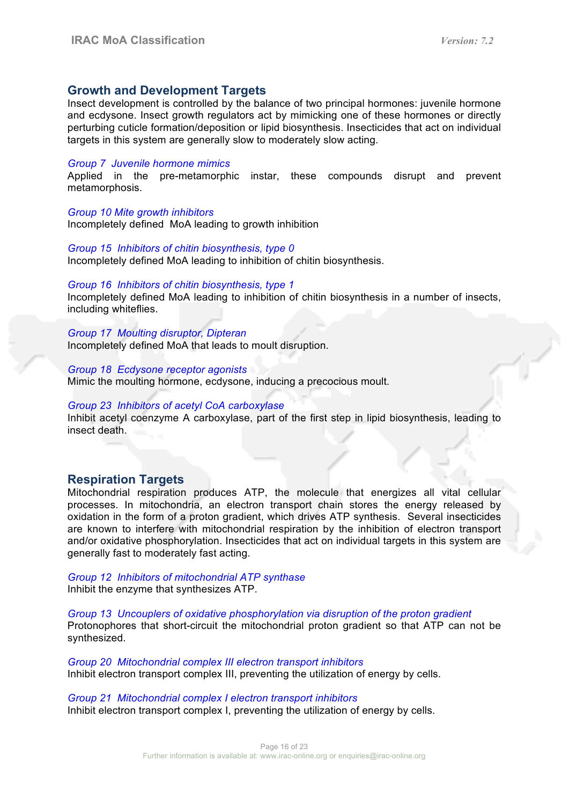### **Growth and Development Targets**

Insect development is controlled by the balance of two principal hormones: juvenile hormone and ecdysone. Insect growth regulators act by mimicking one of these hormones or directly perturbing cuticle formation/deposition or lipid biosynthesis. Insecticides that act on individual targets in this system are generally slow to moderately slow acting.

#### *Group 7 Juvenile hormone mimics*

Applied in the pre-metamorphic instar, these compounds disrupt and prevent metamorphosis.

#### *Group 10 Mite growth inhibitors*

Incompletely defined MoA leading to growth inhibition

#### *Group 15 Inhibitors of chitin biosynthesis, type 0*

Incompletely defined MoA leading to inhibition of chitin biosynthesis.

#### *Group 16 Inhibitors of chitin biosynthesis, type 1*

Incompletely defined MoA leading to inhibition of chitin biosynthesis in a number of insects, including whiteflies.

*Group 17 Moulting disruptor, Dipteran* Incompletely defined MoA that leads to moult disruption.

#### *Group 18 Ecdysone receptor agonists*

Mimic the moulting hormone, ecdysone, inducing a precocious moult.

#### *Group 23 Inhibitors of acetyl CoA carboxylase*

Inhibit acetyl coenzyme A carboxylase, part of the first step in lipid biosynthesis, leading to insect death.

### **Respiration Targets**

Mitochondrial respiration produces ATP, the molecule that energizes all vital cellular processes. In mitochondria, an electron transport chain stores the energy released by oxidation in the form of a proton gradient, which drives ATP synthesis. Several insecticides are known to interfere with mitochondrial respiration by the inhibition of electron transport and/or oxidative phosphorylation. Insecticides that act on individual targets in this system are generally fast to moderately fast acting.

*Group 12 Inhibitors of mitochondrial ATP synthase* Inhibit the enzyme that synthesizes ATP.

*Group 13 Uncouplers of oxidative phosphorylation via disruption of the proton gradient* Protonophores that short-circuit the mitochondrial proton gradient so that ATP can not be synthesized.

*Group 20 Mitochondrial complex III electron transport inhibitors* Inhibit electron transport complex III, preventing the utilization of energy by cells.

#### *Group 21 Mitochondrial complex I electron transport inhibitors*

Inhibit electron transport complex I, preventing the utilization of energy by cells.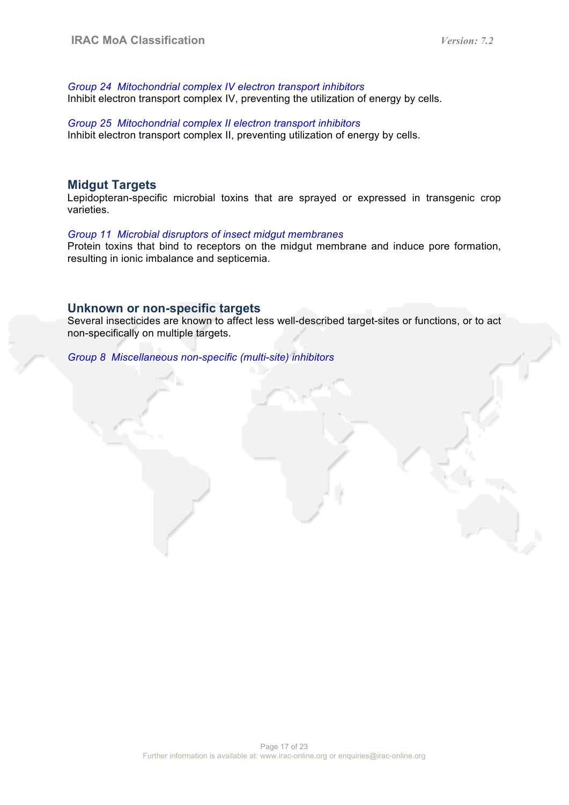*Group 24 Mitochondrial complex IV electron transport inhibitors* Inhibit electron transport complex IV, preventing the utilization of energy by cells.

*Group 25 Mitochondrial complex II electron transport inhibitors* Inhibit electron transport complex II, preventing utilization of energy by cells.

#### **Midgut Targets**

Lepidopteran-specific microbial toxins that are sprayed or expressed in transgenic crop varieties.

#### *Group 11 Microbial disruptors of insect midgut membranes*

Protein toxins that bind to receptors on the midgut membrane and induce pore formation, resulting in ionic imbalance and septicemia.

#### **Unknown or non-specific targets**

Several insecticides are known to affect less well-described target-sites or functions, or to act non-specifically on multiple targets.

*Group 8 Miscellaneous non-specific (multi-site) inhibitors*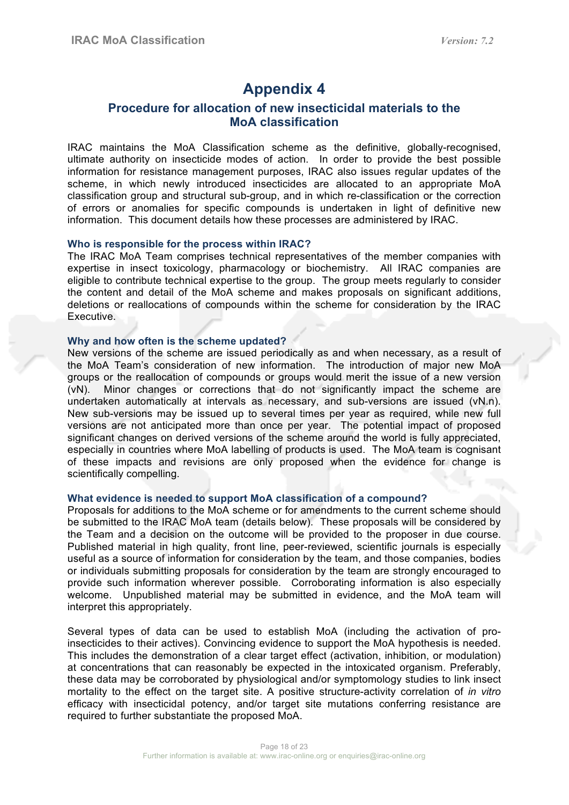## **Procedure for allocation of new insecticidal materials to the MoA classification**

IRAC maintains the MoA Classification scheme as the definitive, globally-recognised, ultimate authority on insecticide modes of action. In order to provide the best possible information for resistance management purposes, IRAC also issues regular updates of the scheme, in which newly introduced insecticides are allocated to an appropriate MoA classification group and structural sub-group, and in which re-classification or the correction of errors or anomalies for specific compounds is undertaken in light of definitive new information. This document details how these processes are administered by IRAC.

#### **Who is responsible for the process within IRAC?**

The IRAC MoA Team comprises technical representatives of the member companies with expertise in insect toxicology, pharmacology or biochemistry. All IRAC companies are eligible to contribute technical expertise to the group. The group meets regularly to consider the content and detail of the MoA scheme and makes proposals on significant additions, deletions or reallocations of compounds within the scheme for consideration by the IRAC Executive.

#### **Why and how often is the scheme updated?**

New versions of the scheme are issued periodically as and when necessary, as a result of the MoA Team's consideration of new information. The introduction of major new MoA groups or the reallocation of compounds or groups would merit the issue of a new version (vN). Minor changes or corrections that do not significantly impact the scheme are undertaken automatically at intervals as necessary, and sub-versions are issued (vN.n). New sub-versions may be issued up to several times per year as required, while new full versions are not anticipated more than once per year. The potential impact of proposed significant changes on derived versions of the scheme around the world is fully appreciated, especially in countries where MoA labelling of products is used. The MoA team is cognisant of these impacts and revisions are only proposed when the evidence for change is scientifically compelling.

#### **What evidence is needed to support MoA classification of a compound?**

Proposals for additions to the MoA scheme or for amendments to the current scheme should be submitted to the IRAC MoA team (details below). These proposals will be considered by the Team and a decision on the outcome will be provided to the proposer in due course. Published material in high quality, front line, peer-reviewed, scientific journals is especially useful as a source of information for consideration by the team, and those companies, bodies or individuals submitting proposals for consideration by the team are strongly encouraged to provide such information wherever possible. Corroborating information is also especially welcome. Unpublished material may be submitted in evidence, and the MoA team will interpret this appropriately.

Several types of data can be used to establish MoA (including the activation of proinsecticides to their actives). Convincing evidence to support the MoA hypothesis is needed. This includes the demonstration of a clear target effect (activation, inhibition, or modulation) at concentrations that can reasonably be expected in the intoxicated organism. Preferably, these data may be corroborated by physiological and/or symptomology studies to link insect mortality to the effect on the target site. A positive structure-activity correlation of *in vitro* efficacy with insecticidal potency, and/or target site mutations conferring resistance are required to further substantiate the proposed MoA.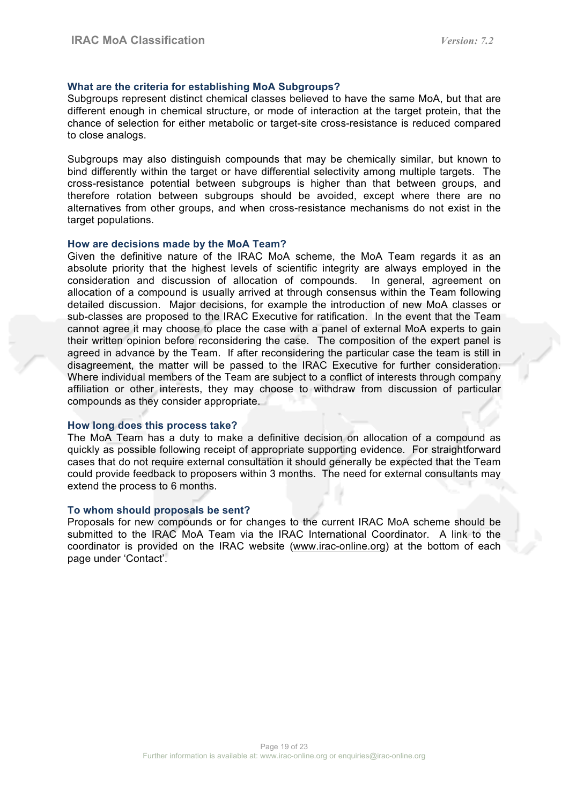#### **What are the criteria for establishing MoA Subgroups?**

Subgroups represent distinct chemical classes believed to have the same MoA, but that are different enough in chemical structure, or mode of interaction at the target protein, that the chance of selection for either metabolic or target-site cross-resistance is reduced compared to close analogs.

Subgroups may also distinguish compounds that may be chemically similar, but known to bind differently within the target or have differential selectivity among multiple targets. The cross-resistance potential between subgroups is higher than that between groups, and therefore rotation between subgroups should be avoided, except where there are no alternatives from other groups, and when cross-resistance mechanisms do not exist in the target populations.

#### **How are decisions made by the MoA Team?**

Given the definitive nature of the IRAC MoA scheme, the MoA Team regards it as an absolute priority that the highest levels of scientific integrity are always employed in the consideration and discussion of allocation of compounds. In general, agreement on allocation of a compound is usually arrived at through consensus within the Team following detailed discussion. Major decisions, for example the introduction of new MoA classes or sub-classes are proposed to the IRAC Executive for ratification. In the event that the Team cannot agree it may choose to place the case with a panel of external MoA experts to gain their written opinion before reconsidering the case. The composition of the expert panel is agreed in advance by the Team. If after reconsidering the particular case the team is still in disagreement, the matter will be passed to the IRAC Executive for further consideration. Where individual members of the Team are subject to a conflict of interests through company affiliation or other interests, they may choose to withdraw from discussion of particular compounds as they consider appropriate.

#### **How long does this process take?**

The MoA Team has a duty to make a definitive decision on allocation of a compound as quickly as possible following receipt of appropriate supporting evidence. For straightforward cases that do not require external consultation it should generally be expected that the Team could provide feedback to proposers within 3 months. The need for external consultants may extend the process to 6 months.

#### **To whom should proposals be sent?**

Proposals for new compounds or for changes to the current IRAC MoA scheme should be submitted to the IRAC MoA Team via the IRAC International Coordinator. A link to the coordinator is provided on the IRAC website (www.irac-online.org) at the bottom of each page under 'Contact'.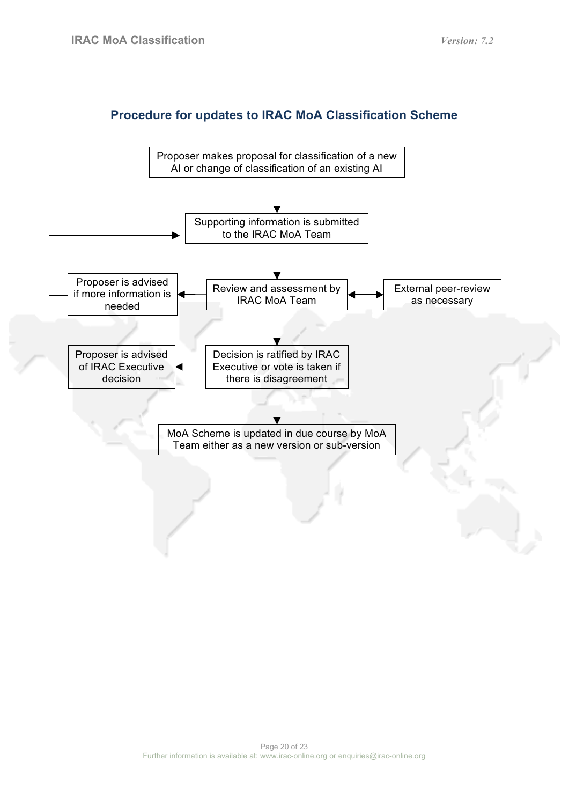## **Procedure for updates to IRAC MoA Classification Scheme**

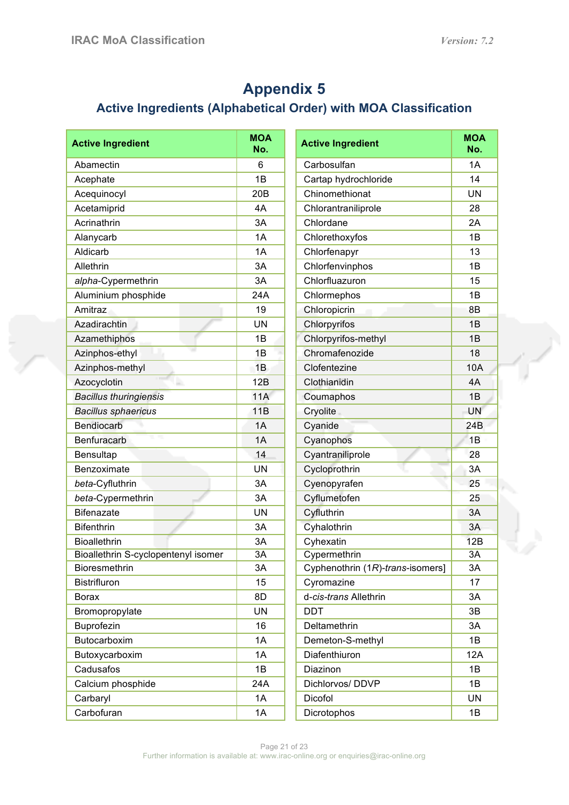# **Appendix 5**

## **Active Ingredients (Alphabetical Order) with MOA Classification**

| <b>Active Ingredient</b>            | <b>MOA</b><br>No. | <b>Active Ingredient</b>         | <b>MOA</b><br>No. |
|-------------------------------------|-------------------|----------------------------------|-------------------|
| Abamectin                           | 6                 | Carbosulfan                      | 1A                |
| Acephate                            | 1B                | Cartap hydrochloride             | 14                |
| Acequinocyl                         | 20 <sub>B</sub>   | Chinomethionat                   | <b>UN</b>         |
| Acetamiprid                         | 4A                | Chlorantraniliprole              | 28                |
| Acrinathrin                         | 3A                | Chlordane                        | 2A                |
| Alanycarb                           | 1A                | Chlorethoxyfos                   | 1B                |
| Aldicarb                            | 1A                | Chlorfenapyr                     | 13                |
| Allethrin                           | 3A                | Chlorfenvinphos                  | 1B                |
| alpha-Cypermethrin                  | 3A                | Chlorfluazuron                   | 15                |
| Aluminium phosphide                 | 24A               | Chlormephos                      | 1B                |
| Amitraz                             | 19                | Chloropicrin                     | 8B                |
| Azadirachtin                        | <b>UN</b>         | Chlorpyrifos                     | 1B                |
| Azamethiphos                        | 1B                | Chlorpyrifos-methyl              | 1B                |
| ٠<br>Azinphos-ethyl                 | 1B                | Chromafenozide                   | 18                |
| Azinphos-methyl                     | 1B                | Clofentezine                     | 10A               |
| Azocyclotin                         | 12B               | Clothianidin                     | 4A                |
| <b>Bacillus thuringiensis</b>       | 11A               | Coumaphos                        | 1B                |
| <b>Bacillus sphaericus</b>          | 11B               | Cryolite                         | <b>UN</b>         |
| <b>Bendiocarb</b>                   | 1A                | Cyanide                          | 24 <sub>B</sub>   |
| Benfuracarb                         | 1A                | Cyanophos                        | 1B                |
| Bensultap                           | 14                | Cyantraniliprole                 | 28                |
| Benzoximate                         | UN                | Cycloprothrin                    | 3A                |
| beta-Cyfluthrin                     | 3A                | Cyenopyrafen                     | 25                |
| beta-Cypermethrin                   | 3A                | Cyflumetofen                     | 25                |
| <b>Bifenazate</b>                   | <b>UN</b>         | Cyfluthrin                       | 3A                |
| <b>Bifenthrin</b>                   | 3A                | Cyhalothrin                      | 3A                |
| <b>Bioallethrin</b>                 | 3A                | Cyhexatin                        | 12B               |
| Bioallethrin S-cyclopentenyl isomer | 3A                | Cypermethrin                     | 3A                |
| Bioresmethrin                       | 3A                | Cyphenothrin (1R)-trans-isomers] | 3A                |
| <b>Bistrifluron</b>                 | 15                | Cyromazine                       | 17                |
| <b>Borax</b>                        | 8D                | d-cis-trans Allethrin            | 3A                |
| Bromopropylate                      | UN                | <b>DDT</b>                       | 3В                |
| Buprofezin                          | 16                | Deltamethrin                     | 3A                |
| Butocarboxim                        | 1A                | Demeton-S-methyl                 | 1B                |
| Butoxycarboxim                      | 1A                | Diafenthiuron                    | 12A               |
| Cadusafos                           | 1B                | Diazinon                         | 1B                |
| Calcium phosphide                   | 24A               | Dichlorvos/DDVP                  | 1B                |
| Carbaryl                            | 1A                | Dicofol                          | UN                |
| Carbofuran                          | 1A                | Dicrotophos                      | 1B                |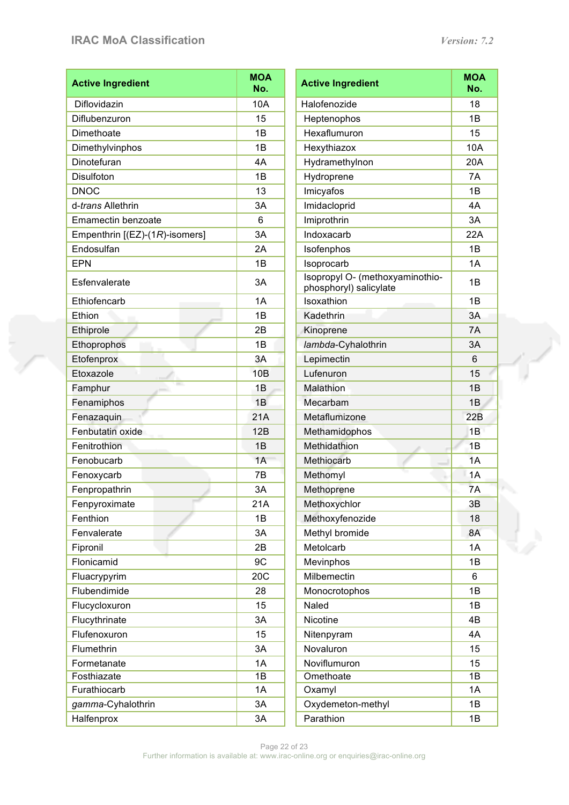## **IRAC MoA Classification** *Version: 7.2*

e<br>Geografia

| <b>Active Ingredient</b>       | <b>MOA</b><br>No. | <b>Active Ingredient</b>                                  | <b>MOA</b><br>No. |  |
|--------------------------------|-------------------|-----------------------------------------------------------|-------------------|--|
| Diflovidazin                   | 10A               | Halofenozide                                              | 18                |  |
| Diflubenzuron                  | 15                | Heptenophos                                               | 1B                |  |
| Dimethoate                     | 1B                | Hexaflumuron                                              | 15                |  |
| Dimethylvinphos                | 1B                | Hexythiazox                                               | 10A               |  |
| Dinotefuran                    | 4A                | Hydramethylnon                                            | 20A               |  |
| Disulfoton                     | 1B                | Hydroprene                                                | 7A                |  |
| <b>DNOC</b>                    | 13                | Imicyafos                                                 | 1B                |  |
| d-trans Allethrin              | 3A                | Imidacloprid                                              | 4A                |  |
| Emamectin benzoate             | 6                 | Imiprothrin                                               | 3A                |  |
| Empenthrin [(EZ)-(1R)-isomers] | 3A                | Indoxacarb                                                | 22A               |  |
| Endosulfan                     | 2A                | Isofenphos                                                | 1B                |  |
| <b>EPN</b>                     | 1B                | Isoprocarb                                                | 1A                |  |
| Esfenvalerate                  | 3A                | Isopropyl O- (methoxyaminothio-<br>phosphoryl) salicylate | 1B                |  |
| Ethiofencarb                   | 1A                | Isoxathion                                                | 1B                |  |
| Ethion                         | 1B                | Kadethrin                                                 | 3A                |  |
| Ethiprole                      | 2B                | Kinoprene                                                 | 7A                |  |
| Ethoprophos                    | 1B                | lambda-Cyhalothrin                                        | 3A                |  |
| Etofenprox                     | 3A                | Lepimectin                                                | $6\phantom{1}$    |  |
| Etoxazole                      | 10B               | Lufenuron                                                 | 15                |  |
| Famphur                        | 1B                | Malathion                                                 | 1B                |  |
| Fenamiphos                     | 1B                | Mecarbam                                                  | 1B                |  |
| Fenazaquin                     | 21A               | Metaflumizone                                             | 22B               |  |
| Fenbutatin oxide               | 12B               | Methamidophos                                             | 1B                |  |
| Fenitrothion                   | 1B                | Methidathion                                              | 1B                |  |
| Fenobucarb                     | 1A                | Methiocarb                                                | 1A                |  |
| Fenoxycarb                     | 7B                | Methomyl                                                  | 1A                |  |
| Fenpropathrin                  | 3A                | Methoprene                                                | 7A                |  |
| Fenpyroximate                  | 21A               | Methoxychlor                                              | 3B                |  |
| Fenthion                       | 1B                | Methoxyfenozide                                           | 18                |  |
| Fenvalerate                    | 3A                | Methyl bromide                                            | 8A                |  |
| Fipronil                       | 2B                | Metolcarb                                                 | 1A                |  |
| Flonicamid                     | 9C                | Mevinphos                                                 | 1B                |  |
| Fluacrypyrim                   | 20C               | Milbemectin                                               | 6                 |  |
| Flubendimide                   | 28                | Monocrotophos                                             | 1B                |  |
| Flucycloxuron                  | 15                | Naled                                                     | 1B                |  |
| Flucythrinate                  | 3A                | Nicotine                                                  | 4Β                |  |
| Flufenoxuron<br>15             |                   | Nitenpyram                                                | 4A                |  |
| Flumethrin                     | 3A                | Novaluron                                                 | 15                |  |
| Formetanate                    | 1A                | Noviflumuron                                              | 15                |  |
| Fosthiazate                    | 1B                | Omethoate                                                 | 1B                |  |
| Furathiocarb                   | 1A                | Oxamyl                                                    | 1A                |  |
| gamma-Cyhalothrin              | 3A                | Oxydemeton-methyl                                         | 1B                |  |
| Halfenprox<br>3A               |                   | Parathion                                                 | 1B                |  |